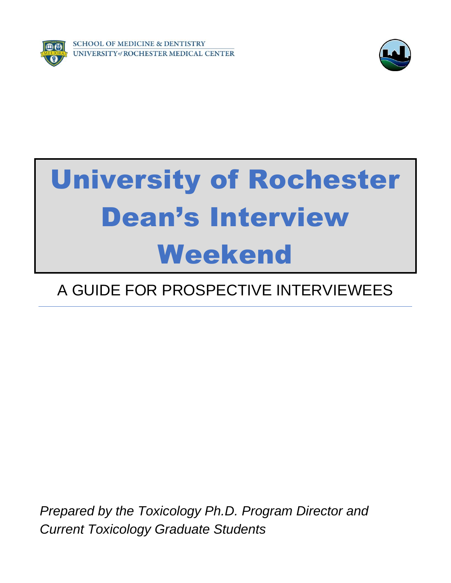

**SCHOOL OF MEDICINE & DENTISTRY VERSITY of ROCHESTER MEDICAL CENTER** 



# University of Rochester Dean's Interview Weekend

# A GUIDE FOR PROSPECTIVE INTERVIEWEES

*Prepared by the Toxicology Ph.D. Program Director and Current Toxicology Graduate Students*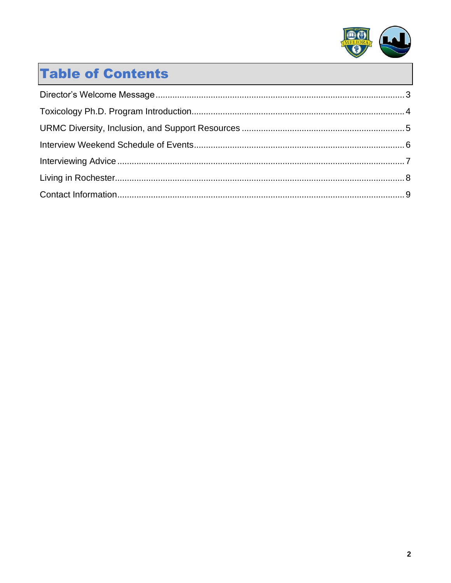

# **Table of Contents**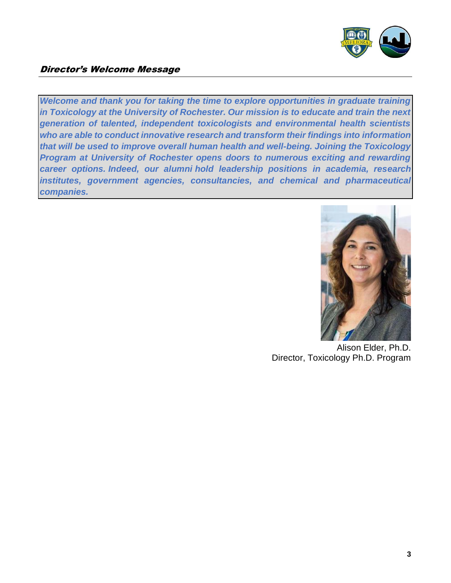

#### <span id="page-2-0"></span>Director's Welcome Message

*Welcome and thank you for taking the time to explore opportunities in graduate training in Toxicology at the University of Rochester. Our mission is to educate and train the next generation of talented, independent toxicologists and environmental health scientists who are able to conduct innovative research and transform their findings into information that will be used to improve overall human health and well-being. Joining the Toxicology Program at University of Rochester opens doors to numerous exciting and rewarding career options. Indeed, our alumni hold leadership positions in academia, research institutes, government agencies, consultancies, and chemical and pharmaceutical companies.*



Alison Elder, Ph.D. Director, Toxicology Ph.D. Program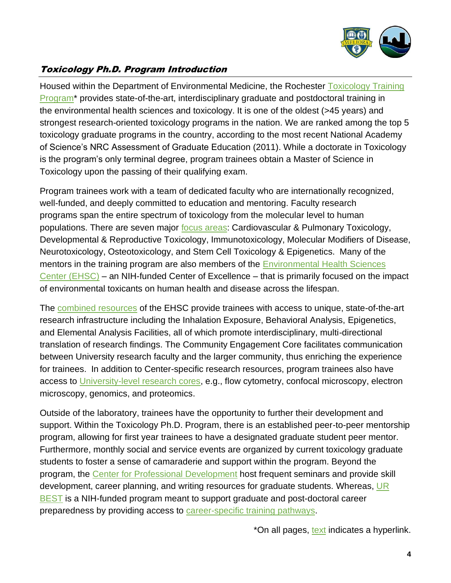

## <span id="page-3-0"></span>Toxicology Ph.D. Program Introduction

Housed within the Department of Environmental Medicine, the Rochester [Toxicology Training](https://www.urmc.rochester.edu/education/graduate/phd/toxicology.aspx)  [Program\\*](https://www.urmc.rochester.edu/education/graduate/phd/toxicology.aspx) provides state-of-the-art, interdisciplinary graduate and postdoctoral training in the environmental health sciences and toxicology. It is one of the oldest (>45 years) and strongest research-oriented toxicology programs in the nation. We are ranked among the top 5 toxicology graduate programs in the country, according to the most recent National Academy of Science's NRC Assessment of Graduate Education (2011). While a doctorate in Toxicology is the program's only terminal degree, program trainees obtain a Master of Science in Toxicology upon the passing of their qualifying exam.

Program trainees work with a team of dedicated faculty who are internationally recognized, well-funded, and deeply committed to education and mentoring. Faculty research programs span the entire spectrum of toxicology from the molecular level to human populations. There are seven major [focus areas:](https://www.urmc.rochester.edu/education/graduate/phd/toxicology/research.aspx) Cardiovascular & Pulmonary Toxicology, Developmental & Reproductive Toxicology, Immunotoxicology, Molecular Modifiers of Disease, Neurotoxicology, Osteotoxicology, and Stem Cell Toxicology & Epigenetics. Many of the mentors in the training program are also members of the [Environmental Health Sciences](https://www.urmc.rochester.edu/environmental-health-sciences.aspx)  [Center \(EHSC\)](https://www.urmc.rochester.edu/environmental-health-sciences.aspx) – an NIH-funded Center of Excellence – that is primarily focused on the impact of environmental toxicants on human health and disease across the lifespan.

The [combined resources](https://www.urmc.rochester.edu/environmental-health-sciences/cores-facilities.aspx) of the EHSC provide trainees with access to unique, state-of-the-art research infrastructure including the Inhalation Exposure, Behavioral Analysis, Epigenetics, and Elemental Analysis Facilities, all of which promote interdisciplinary, multi-directional translation of research findings. The Community Engagement Core facilitates communication between University research faculty and the larger community, thus enriching the experience for trainees. In addition to Center-specific research resources, program trainees also have access to [University-level research cores,](https://www.urmc.rochester.edu/research/shared-resource-labs.aspx) e.g., flow cytometry, confocal microscopy, electron microscopy, genomics, and proteomics.

Outside of the laboratory, trainees have the opportunity to further their development and support. Within the Toxicology Ph.D. Program, there is an established peer-to-peer mentorship program, allowing for first year trainees to have a designated graduate student peer mentor. Furthermore, monthly social and service events are organized by current toxicology graduate students to foster a sense of camaraderie and support within the program. Beyond the program, the [Center for Professional Development](https://www.urmc.rochester.edu/education/graduate/professional-development.aspx) host frequent seminars and provide skill development, career planning, and writing resources for graduate students. Whereas, [UR](https://www.urmc.rochester.edu/education/graduate/best-program.aspx)  [BEST](https://www.urmc.rochester.edu/education/graduate/best-program.aspx) is a NIH-funded program meant to support graduate and post-doctoral career preparedness by providing access to [career-specific training pathways.](https://www.urmc.rochester.edu/education/graduate/best-program/training-pathways.aspx)

\*On all pages, text indicates a hyperlink.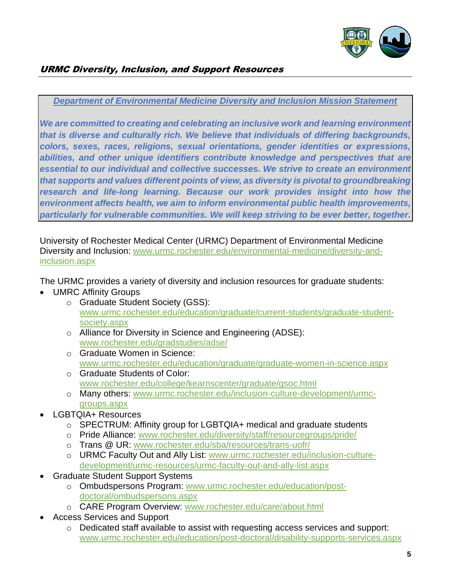

#### <span id="page-4-0"></span>*Department of Environmental Medicine Diversity and Inclusion Mission Statement*

*We are committed to creating and celebrating an inclusive work and learning environment that is diverse and culturally rich. We believe that individuals of differing backgrounds, colors, sexes, races, religions, sexual orientations, gender identities or expressions,*  abilities, and other unique identifiers contribute knowledge and perspectives that are *essential to our individual and collective successes. We strive to create an environment that supports and values different points of view, as diversity is pivotal to groundbreaking*  research and life-long learning. Because our work provides insight into how the *environment affects health, we aim to inform environmental public health improvements, particularly for vulnerable communities. We will keep striving to be ever better, together.*

University of Rochester Medical Center (URMC) Department of Environmental Medicine Diversity and Inclusion: [www.urmc.rochester.edu/environmental-medicine/diversity-and](http://www.urmc.rochester.edu/environmental-medicine/diversity-and-inclusion.aspx)[inclusion.aspx](http://www.urmc.rochester.edu/environmental-medicine/diversity-and-inclusion.aspx)

The URMC provides a variety of diversity and inclusion resources for graduate students:

- UMRC Affinity Groups
	- o Graduate Student Society (GSS): [www.urmc.rochester.edu/education/graduate/current-students/graduate-student](http://www.urmc.rochester.edu/education/graduate/current-students/graduate-student-society.aspx)[society.aspx](http://www.urmc.rochester.edu/education/graduate/current-students/graduate-student-society.aspx)
	- o Alliance for Diversity in Science and Engineering (ADSE): [www.rochester.edu/gradstudies/adse/](http://www.rochester.edu/gradstudies/adse/)
	- o Graduate Women in Science: [www.urmc.rochester.edu/education/graduate/graduate-women-in-science.aspx](http://www.urmc.rochester.edu/education/graduate/graduate-women-in-science.aspx)
	- o Graduate Students of Color: [www.rochester.edu/college/kearnscenter/graduate/gsoc.html](http://www.rochester.edu/college/kearnscenter/graduate/gsoc.html)
	- o Many others: [www.urmc.rochester.edu/inclusion-culture-development/urmc](http://www.urmc.rochester.edu/inclusion-culture-development/urmc-groups.aspx)[groups.aspx](http://www.urmc.rochester.edu/inclusion-culture-development/urmc-groups.aspx)
- LGBTQIA+ Resources
	- o SPECTRUM: Affinity group for LGBTQIA+ medical and graduate students
	- o Pride Alliance: [www.rochester.edu/diversity/staff/resourcegroups/pride/](http://www.rochester.edu/diversity/staff/resourcegroups/pride/)
	- o Trans @ UR: [www.rochester.edu/sba/resources/trans-uofr/](http://www.rochester.edu/sba/resources/trans-uofr/)
	- o URMC Faculty Out and Ally List: [www.urmc.rochester.edu/inclusion-culture](http://www.urmc.rochester.edu/inclusion-culture-development/urmc-resources/urmc-faculty-out-and-ally-list.aspx)[development/urmc-resources/urmc-faculty-out-and-ally-list.aspx](http://www.urmc.rochester.edu/inclusion-culture-development/urmc-resources/urmc-faculty-out-and-ally-list.aspx)
- Graduate Student Support Systems
	- o Ombudspersons Program: [www.urmc.rochester.edu/education/post](http://www.urmc.rochester.edu/education/post-doctoral/ombudspersons.aspx)[doctoral/ombudspersons.aspx](http://www.urmc.rochester.edu/education/post-doctoral/ombudspersons.aspx)
	- o CARE Program Overview: [www.rochester.edu/care/about.html](http://www.rochester.edu/care/about.html)
- Access Services and Support
	- o Dedicated staff available to assist with requesting access services and support: [www.urmc.rochester.edu/education/post-doctoral/disability-supports-services.aspx](http://www.urmc.rochester.edu/education/post-doctoral/disability-supports-services.aspx)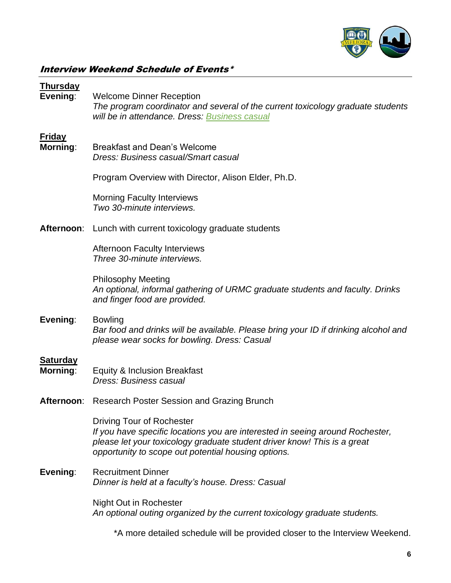

# <span id="page-5-0"></span>Interview Weekend Schedule of Events\*

| <b>Thursday</b><br>Evening: | <b>Welcome Dinner Reception</b><br>The program coordinator and several of the current toxicology graduate students<br>will be in attendance. Dress: Business casual                                                                           |
|-----------------------------|-----------------------------------------------------------------------------------------------------------------------------------------------------------------------------------------------------------------------------------------------|
| <b>Friday</b><br>Morning:   | <b>Breakfast and Dean's Welcome</b><br>Dress: Business casual/Smart casual                                                                                                                                                                    |
|                             | Program Overview with Director, Alison Elder, Ph.D.                                                                                                                                                                                           |
|                             | <b>Morning Faculty Interviews</b><br>Two 30-minute interviews.                                                                                                                                                                                |
|                             | <b>Afternoon:</b> Lunch with current toxicology graduate students                                                                                                                                                                             |
|                             | <b>Afternoon Faculty Interviews</b><br>Three 30-minute interviews.                                                                                                                                                                            |
|                             | <b>Philosophy Meeting</b><br>An optional, informal gathering of URMC graduate students and faculty. Drinks<br>and finger food are provided.                                                                                                   |
| Evening:                    | <b>Bowling</b><br>Bar food and drinks will be available. Please bring your ID if drinking alcohol and<br>please wear socks for bowling. Dress: Casual                                                                                         |
| <b>Saturday</b><br>Morning: | Equity & Inclusion Breakfast<br>Dress: Business casual                                                                                                                                                                                        |
| Afternoon:                  | Research Poster Session and Grazing Brunch                                                                                                                                                                                                    |
|                             | Driving Tour of Rochester<br>If you have specific locations you are interested in seeing around Rochester,<br>please let your toxicology graduate student driver know! This is a great<br>opportunity to scope out potential housing options. |
| Evening:                    | <b>Recruitment Dinner</b><br>Dinner is held at a faculty's house. Dress: Casual                                                                                                                                                               |
|                             | Night Out in Rochester<br>An optional outing organized by the current toxicology graduate students.                                                                                                                                           |
|                             | *A more detailed schedule will be provided closer to the Interview Weekend.                                                                                                                                                                   |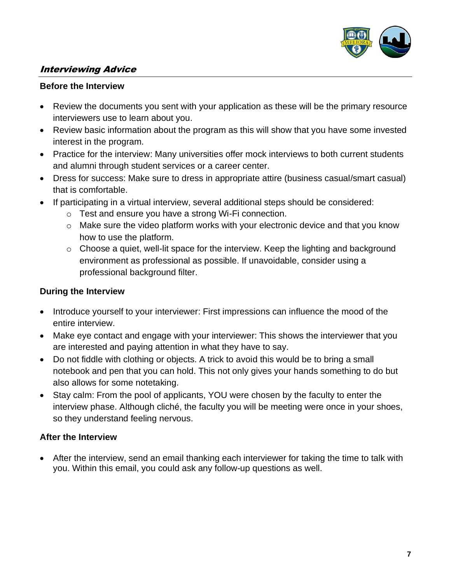

#### <span id="page-6-0"></span>Interviewing Advice

#### **Before the Interview**

- Review the documents you sent with your application as these will be the primary resource interviewers use to learn about you.
- Review basic information about the program as this will show that you have some invested interest in the program.
- Practice for the interview: Many universities offer mock interviews to both current students and alumni through student services or a career center.
- Dress for success: Make sure to dress in appropriate attire (business casual/smart casual) that is comfortable.
- If participating in a virtual interview, several additional steps should be considered:
	- o Test and ensure you have a strong Wi-Fi connection.
	- o Make sure the video platform works with your electronic device and that you know how to use the platform.
	- $\circ$  Choose a quiet, well-lit space for the interview. Keep the lighting and background environment as professional as possible. If unavoidable, consider using a professional background filter.

#### **During the Interview**

- Introduce yourself to your interviewer: First impressions can influence the mood of the entire interview.
- Make eye contact and engage with your interviewer: This shows the interviewer that you are interested and paying attention in what they have to say.
- Do not fiddle with clothing or objects. A trick to avoid this would be to bring a small notebook and pen that you can hold. This not only gives your hands something to do but also allows for some notetaking.
- Stay calm: From the pool of applicants, YOU were chosen by the faculty to enter the interview phase. Although cliché, the faculty you will be meeting were once in your shoes, so they understand feeling nervous.

#### **After the Interview**

• After the interview, send an email thanking each interviewer for taking the time to talk with you. Within this email, you could ask any follow-up questions as well.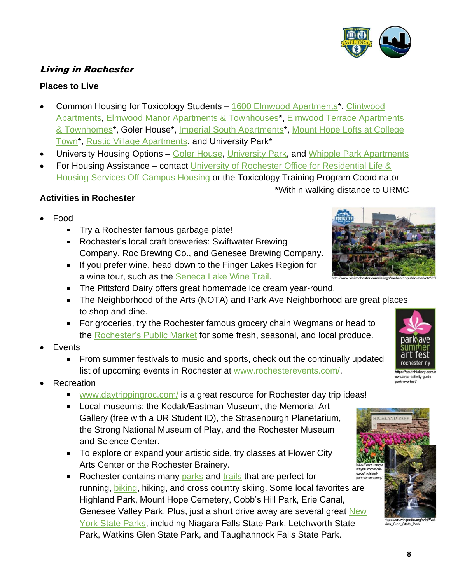#### <span id="page-7-0"></span>Living in Rochester

#### **Places to Live**

- Common Housing for Toxicology Students [1600 Elmwood Apartments\\*](https://www.1600elmwoodavenue.com/), [Clintwood](https://clintwoodapartments.com/)  [Apartments,](https://clintwoodapartments.com/) [Elmwood Manor Apartments & Townhouses\\*](https://elmwoodmanor.net/), [Elmwood Terrace Apartments](https://www.morgan-properties.com/apartments/ny/rochester/elmwood-terrace-apartments-and-townhomes/)  [& Townhomes\\*](https://www.morgan-properties.com/apartments/ny/rochester/elmwood-terrace-apartments-and-townhomes/), Goler House\*, [Imperial South Apartments\\*](https://www.imperialsouth.com/), [Mount Hope Lofts at College](https://www.collegetownrochester.com/live-at-mt-hope-lofts/)  [Town\\*](https://www.collegetownrochester.com/live-at-mt-hope-lofts/), [Rustic Village Apartments,](https://www.rusticvillageapartments.com/) and University Park\*
- University Housing Options [Goler House,](https://www.rochester.edu/reslife/graduate/housing-options/goler-house.html) [University Park,](https://www.rochester.edu/reslife/graduate/housing-options/university-park.html) and [Whipple Park Apartments](https://www.rochester.edu/reslife/graduate/housing-options/whipple-park.html)
- For Housing Assistance contact [University of Rochester Office for Residential Life &](https://www.rochester.edu/reslife/non/index.html)  [Housing Services Off-Campus Housing](https://www.rochester.edu/reslife/non/index.html) or the Toxicology Training Program Coordinator

#### **Activities in Rochester**

- Food
	- **Try a Rochester famous garbage plate!**
	- Rochester's local craft breweries: Swiftwater Brewing Company, Roc Brewing Co., and Genesee Brewing Company.
	- **If you prefer wine, head down to the Finger Lakes Region for** a wine tour, such as the [Seneca Lake Wine Trail.](https://senecalakewine.com/)
	- **The Pittsford Dairy offers great homemade ice cream year-round.**
	- The Neighborhood of the Arts (NOTA) and Park Ave Neighborhood are great places to shop and dine.
	- For groceries, try the Rochester famous grocery chain Wegmans or head to the [Rochester's Public Market](https://www.cityofrochester.gov/publicmarket/) for some fresh, seasonal, and local produce.
- **Events** 
	- From summer festivals to music and sports, check out the continually updated list of upcoming events in Rochester at [www.rochesterevents.com/.](https://www.rochesterevents.com/)
- **Recreation** 
	- [www.daytrippingroc.com/](http://www.daytrippingroc.com/) is a great resource for Rochester day trip ideas!
	- Local museums: the Kodak/Eastman Museum, the Memorial Art Gallery (free with a UR Student ID), the Strasenburgh Planetarium, the Strong National Museum of Play, and the Rochester Museum and Science Center.
	- To explore or expand your artistic side, try classes at Flower City Arts Center or the Rochester Brainery.
	- Rochester contains many [parks](https://www.cityofrochester.gov/parks/) and [trails](https://www.cityofrochester.gov/trails/) that are perfect for running, [biking,](https://www.cityofrochester.gov/article.aspx?id=8589951970) hiking, and cross country skiing. Some local favorites are Highland Park, Mount Hope Cemetery, Cobb's Hill Park, Erie Canal, Genesee Valley Park. Plus, just a short drive away are several great New [York State Parks,](https://parks.ny.gov/) including Niagara Falls State Park, Letchworth State Park, Watkins Glen State Park, and Taughannock Falls State Park.



\*Within walking distance to URMC